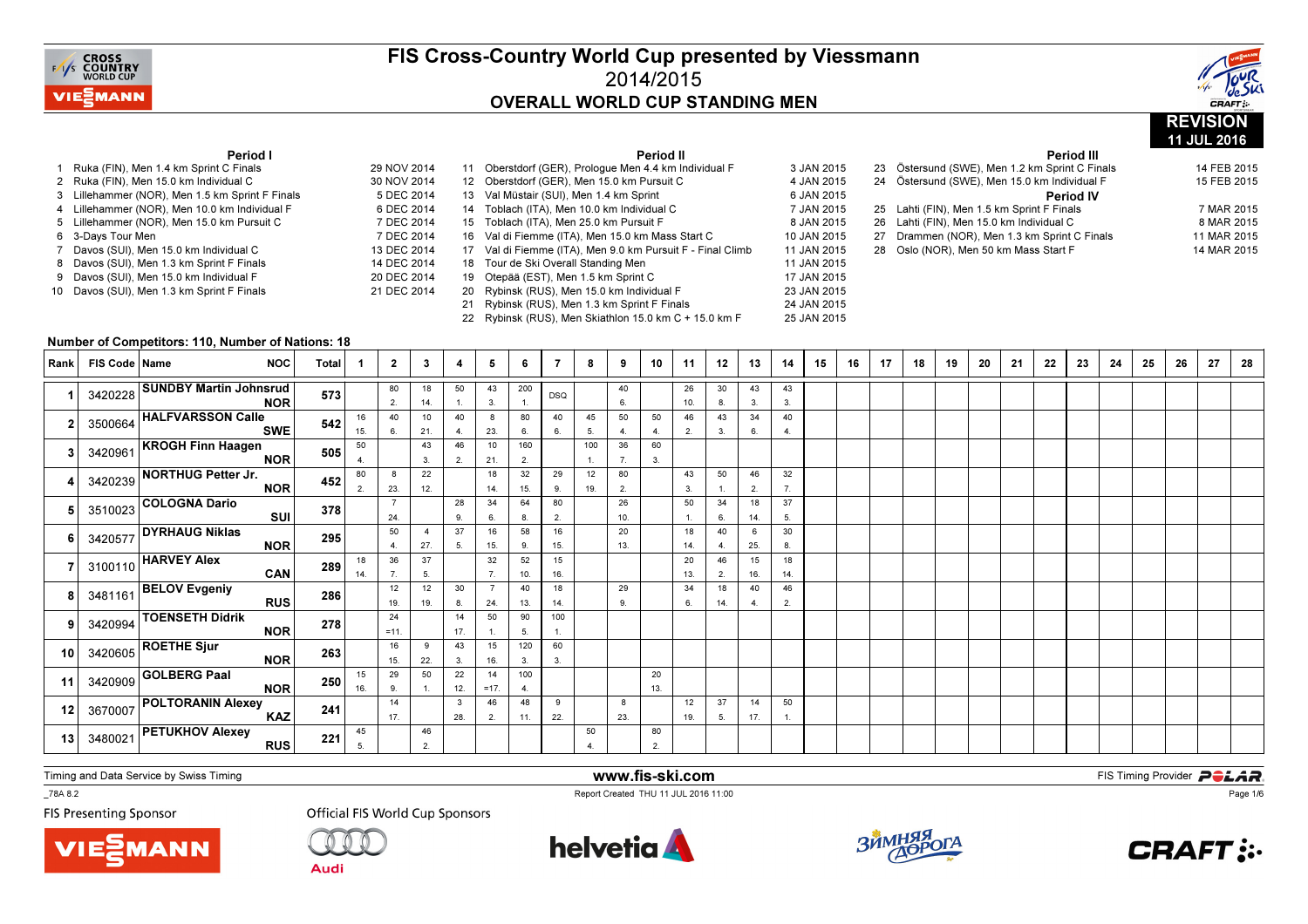



11 JUL 2016

#### Period I

| 1  | Ruka (FIN), Men 1.4 km Sprint C Finals        | 29 NOV 2014 |
|----|-----------------------------------------------|-------------|
| 2  | Ruka (FIN), Men 15.0 km Individual C          | 30 NOV 2014 |
| 3  | Lillehammer (NOR), Men 1.5 km Sprint F Finals | 5 DEC 2014  |
| 4  | Lillehammer (NOR), Men 10.0 km Individual F   | 6 DEC 2014  |
| 5  | Lillehammer (NOR), Men 15.0 km Pursuit C      | 7 DEC 2014  |
|    | 6 3-Days Tour Men                             | 7 DEC 2014  |
| 7  | Davos (SUI), Men 15.0 km Individual C         | 13 DEC 2014 |
| 8  | Davos (SUI), Men 1.3 km Sprint F Finals       | 14 DEC 2014 |
| 9  | Davos (SUI), Men 15.0 km Individual F         | 20 DEC 2014 |
| 10 | Davos (SUI), Men 1.3 km Sprint F Finals       | 21 DEC 2014 |
|    |                                               |             |

|      |                   | Period II                                               |             |
|------|-------------------|---------------------------------------------------------|-------------|
| 2014 | 11                | Oberstdorf (GER), Prologue Men 4.4 km Individual F      | 3 JAN 2015  |
| 2014 | $12 \overline{ }$ | Oberstdorf (GER), Men 15.0 km Pursuit C                 | 4 JAN 2015  |
| 2014 | 13                | Val Müstair (SUI), Men 1.4 km Sprint                    | 6 JAN 2015  |
| 2014 | 14                | Toblach (ITA), Men 10.0 km Individual C                 | 7 JAN 2015  |
| 2014 | 15                | Toblach (ITA), Men 25.0 km Pursuit F                    | 8 JAN 2015  |
| 2014 | 16                | Val di Fiemme (ITA), Men 15.0 km Mass Start C           | 10 JAN 2015 |
| 2014 | 17                | Val di Fiemme (ITA), Men 9.0 km Pursuit F - Final Climb | 11 JAN 2015 |
| 2014 | 18                | Tour de Ski Overall Standing Men                        | 11 JAN 2015 |
| 2014 | 19                | Otepää (EST), Men 1.5 km Sprint C                       | 17 JAN 2015 |
| 2014 | 20                | Rybinsk (RUS), Men 15.0 km Individual F                 | 23 JAN 2015 |
|      | 21                | Rybinsk (RUS), Men 1.3 km Sprint F Finals               | 24 JAN 2015 |
|      | 22                | Rybinsk (RUS), Men Skiathlon 15.0 km C + 15.0 km F      | 25 JAN 2015 |

#### Period III <sup>23</sup> Östersund (SWE), Men 1.2 km Sprint C Finals 14 FEB 201515 FEB 2015 24 Östersund (SWE), Men 15.0 km Individual F Period IV25 Lahti (FIN), Men 1.5 km Sprint F Finals 7 MAR 2015 8 MAR 2015 26 Lahti (FIN), Men 15.0 km Individual C 11 MAR 2015 27 Drammen (NOR), Men 1.3 km Sprint C Finals 14 MAR 2015 28 Oslo (NOR), Men 50 km Mass Start F

#### Number of Competitors: 110, Number of Nations: 18

| Rank            | FIS Code   Name | <b>NOC</b>                                                                            | <b>Total</b> |           | 2            | 3                     | 4         | 5            | 6         |            | 8         | 9         | 10        | 11        | 12        | 13        | 14                   | 15 | 16 | 17 | 18 | 19 | 20 | 21 | 22 | 23 | 24 | 25 | 26 | 27 | 28 |
|-----------------|-----------------|---------------------------------------------------------------------------------------|--------------|-----------|--------------|-----------------------|-----------|--------------|-----------|------------|-----------|-----------|-----------|-----------|-----------|-----------|----------------------|----|----|----|----|----|----|----|----|----|----|----|----|----|----|
|                 |                 | 3420228 SUNDBY Martin Johnsrud<br><b>NOR</b>                                          | 573          |           | 80<br>2.     | 18<br>14.             | 50        | 43<br>3.     | 200       | <b>DSQ</b> |           | 40<br>6.  |           | 26<br>10. | 30<br>8.  | 43<br>3.  | 43<br>3.             |    |    |    |    |    |    |    |    |    |    |    |    |    |    |
|                 |                 | 3500664 HALFVARSSON Calle<br><b>SWE</b>                                               | 542          | 16<br>15. | 40<br>6.     | 10<br>21.             | 40<br>4   | 8<br>23.     | 80<br>6.  | 40<br>6.   | 45<br>5.  | 50<br>4   | 50<br>4   | 46<br>2.  | 43<br>3.  | 34<br>6.  | 40<br>$\overline{4}$ |    |    |    |    |    |    |    |    |    |    |    |    |    |    |
|                 |                 | 3420961 KROGH Finn Haagen<br><b>NOR</b>                                               | 505          | 50        |              | 43<br>3.              | 46<br>2.  | 10<br>21.    | 160<br>2. |            | 100       | 36<br>7.  | 60<br>3.  |           |           |           |                      |    |    |    |    |    |    |    |    |    |    |    |    |    |    |
|                 |                 | 3420239 NORTHUG Petter Jr.<br><b>NOR</b>                                              | 452          | 80<br>2.  | 8<br>23.     | 22<br>12.             |           | 18<br>14.    | 32<br>15. | 29<br>9.   | 12<br>19. | 80<br>2.  |           | 43<br>3.  | 50        | 46<br>2.  | 32<br>$\overline{7}$ |    |    |    |    |    |    |    |    |    |    |    |    |    |    |
|                 |                 | 3510023 COLOGNA Dario<br>SUI                                                          | 378          |           | 24.          |                       | 28<br>9.  | 34<br>6.     | 64<br>8.  | 80<br>2.   |           | 26<br>10. |           | 50        | 34<br>6.  | 18<br>14. | 37<br>5.             |    |    |    |    |    |    |    |    |    |    |    |    |    |    |
|                 |                 | $3420577$ DYRHAUG Niklas<br><b>NOR</b>                                                | 295          |           | 50<br>4.     | $\overline{4}$<br>27. | 37<br>5.  | 16<br>15.    | 58<br>9.  | 16<br>15.  |           | 20<br>13. |           | 18<br>14. | 40<br>-4. | 6<br>25.  | 30<br>8.             |    |    |    |    |    |    |    |    |    |    |    |    |    |    |
|                 |                 | $3100110$ HARVEY Alex<br>CAN                                                          | 289          | 18<br>14. | 36<br>7.     | 37<br>5.              |           | 32<br>7.     | 52<br>10. | 15<br>16.  |           |           |           | 20<br>13. | 46<br>2.  | 15<br>16. | 18<br>14.            |    |    |    |    |    |    |    |    |    |    |    |    |    |    |
|                 |                 | 3481161 BELOV Evgeniy<br><b>RUS</b>                                                   | 286          |           | 12<br>19.    | 12<br>19.             | 30<br>8.  | 24.          | 40<br>13. | 18<br>14.  |           | 29<br>9.  |           | 34<br>6.  | 18<br>14. | 40<br>4   | 46<br>2.             |    |    |    |    |    |    |    |    |    |    |    |    |    |    |
| 9               |                 | $3420994$ TOENSETH Didrik<br><b>NOR</b>                                               | 278          |           | 24<br>$=11.$ |                       | 14<br>17. | 50           | 90<br>5.  | 100        |           |           |           |           |           |           |                      |    |    |    |    |    |    |    |    |    |    |    |    |    |    |
| 10 <sup>1</sup> |                 | $^{1}$ 3420605 ROETHE Sjur<br><b>NOR</b>                                              | 263          |           | 16<br>15.    | 9<br>22.              | 43<br>3.  | 15<br>16.    | 120<br>3. | 60<br>3.   |           |           |           |           |           |           |                      |    |    |    |    |    |    |    |    |    |    |    |    |    |    |
| 11              |                 | $\begin{array}{ c c }\n^{\text{1}} & 3420909\n\end{array}$ GOLBERG Paal<br><b>NOR</b> | 250          | 15<br>16. | 29<br>9.     | 50                    | 22<br>12. | 14<br>$=17.$ | 100<br>4. |            |           |           | 20<br>13. |           |           |           |                      |    |    |    |    |    |    |    |    |    |    |    |    |    |    |
| 12              |                 | 3670007 POLTORANIN Alexey<br><b>KAZ</b>                                               | 241          |           | 14<br>17.    |                       | 3<br>28.  | 46<br>2.     | 48<br>11. | 9<br>22.   |           | 8<br>23.  |           | 12<br>19. | 37<br>5.  | 14<br>17. | 50                   |    |    |    |    |    |    |    |    |    |    |    |    |    |    |
| 13              |                 | 3480021 PETUKHOV Alexey<br><b>RUS</b>                                                 | 221          | 45<br>5.  |              | 46<br>2.              |           |              |           |            | 50        |           | 80<br>2.  |           |           |           |                      |    |    |    |    |    |    |    |    |    |    |    |    |    |    |

Timing and Data Service by Swiss Timing

\_78A 8.2

**FIS Presenting Sponsor** 





**Official FIS World Cup Sponsors** 



www.fis-ski.com

Report Created THU 11 JUL 2016 11:00



**m**<br>FIS Timing Provider<br>Is 11:00



Page 1/6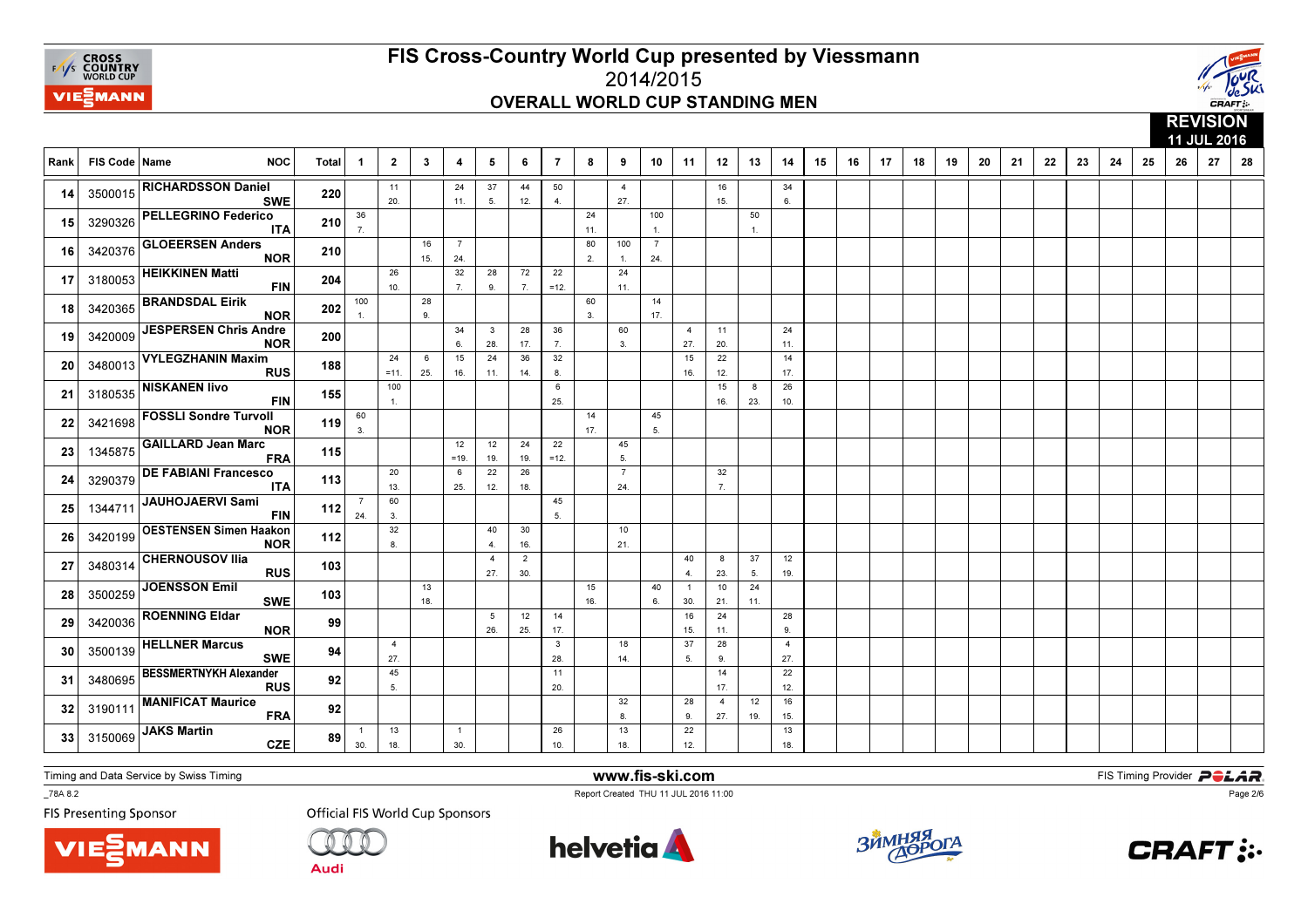



|      |                 |                                             |       |                        |                       |              |                       |                                |                       |                     |           |                       |                       |                        |                        |                      | 11 JUL 2016<br>12<br>19<br>8<br>9<br>10<br>11<br>13<br>14<br>15<br>16<br>17<br>18<br>20<br>21<br>22<br>23<br>24<br>25<br>26<br>27<br>28 |  |  |  |  |  |  |  |  |  |  |  |  |  |  |
|------|-----------------|---------------------------------------------|-------|------------------------|-----------------------|--------------|-----------------------|--------------------------------|-----------------------|---------------------|-----------|-----------------------|-----------------------|------------------------|------------------------|----------------------|-----------------------------------------------------------------------------------------------------------------------------------------|--|--|--|--|--|--|--|--|--|--|--|--|--|--|
| Rank | FIS Code   Name | <b>NOC</b>                                  | Total | - 1                    | $\overline{2}$        | $\mathbf{3}$ | 4                     | 5                              | 6                     | $\overline{7}$      |           |                       |                       |                        |                        |                      |                                                                                                                                         |  |  |  |  |  |  |  |  |  |  |  |  |  |  |
| 14   | 3500015         | <b>RICHARDSSON Daniel</b><br><b>SWE</b>     | 220   |                        | 11<br>20.             |              | 24<br>11.             | 37<br>5.                       | 44<br>12.             | 50<br>4.            |           | $\overline{4}$<br>27. |                       |                        | 16<br>15.              |                      | 34<br>6.                                                                                                                                |  |  |  |  |  |  |  |  |  |  |  |  |  |  |
| 15   | 3290326         | <b>PELLEGRINO Federico</b><br><b>ITA</b>    | 210   | 36<br>$\overline{7}$ . |                       |              |                       |                                |                       |                     | 24<br>11. |                       | 100<br>$\overline{1}$ |                        |                        | 50<br>$\overline{1}$ |                                                                                                                                         |  |  |  |  |  |  |  |  |  |  |  |  |  |  |
| 16   | 3420376         | <b>GLOEERSEN Anders</b><br><b>NOR</b>       | 210   |                        |                       | 16<br>15.    | $\overline{7}$<br>24. |                                |                       |                     | 80<br>2.  | 100<br>$\mathbf{1}$ . | $\overline{7}$<br>24. |                        |                        |                      |                                                                                                                                         |  |  |  |  |  |  |  |  |  |  |  |  |  |  |
| 17   | 3180053         | <b>HEIKKINEN Matti</b><br><b>FIN</b>        | 204   |                        | 26<br>10.             |              | 32<br>7.              | 28<br>9.                       | 72<br>7.              | 22<br>$=12.$        |           | 24<br>11.             |                       |                        |                        |                      |                                                                                                                                         |  |  |  |  |  |  |  |  |  |  |  |  |  |  |
| 18   | 3420365         | <b>BRANDSDAL Eirik</b><br><b>NOR</b>        | 202   | 100<br>$\mathbf{1}$    |                       | 28<br>9.     |                       |                                |                       |                     | 60<br>3.  |                       | 14<br>17.             |                        |                        |                      |                                                                                                                                         |  |  |  |  |  |  |  |  |  |  |  |  |  |  |
| 19   | 3420009         | <b>JESPERSEN Chris Andre</b><br><b>NOR</b>  | 200   |                        |                       |              | 34<br>6.              | $\overline{\mathbf{3}}$<br>28. | 28<br>17.             | 36<br>7.            |           | 60<br>3.              |                       | $\overline{4}$<br>27.  | 11<br>20.              |                      | 24<br>11.                                                                                                                               |  |  |  |  |  |  |  |  |  |  |  |  |  |  |
| 20   | 3480013         | <b>VYLEGZHANIN Maxim</b><br><b>RUS</b>      | 188   |                        | 24<br>$=11.$          | 6<br>25.     | 15<br>16.             | 24<br>11.                      | 36<br>14.             | 32<br>8.            |           |                       |                       | 15<br>16.              | 22<br>12.              |                      | 14<br>17.                                                                                                                               |  |  |  |  |  |  |  |  |  |  |  |  |  |  |
| 21   | 3180535         | <b>NISKANEN livo</b><br><b>FIN</b>          | 155   |                        | 100<br>$\mathbf{1}$ . |              |                       |                                |                       | 6<br>25.            |           |                       |                       |                        | 15<br>16.              | 8<br>23.             | 26<br>10.                                                                                                                               |  |  |  |  |  |  |  |  |  |  |  |  |  |  |
| 22   | 3421698         | <b>FOSSLI Sondre Turvoll</b><br><b>NOR</b>  | 119   | 60<br>3.               |                       |              |                       |                                |                       |                     | 14<br>17. |                       | 45<br>5 <sub>1</sub>  |                        |                        |                      |                                                                                                                                         |  |  |  |  |  |  |  |  |  |  |  |  |  |  |
| 23   | 1345875         | <b>GAILLARD Jean Marc</b><br><b>FRA</b>     | 115   |                        |                       |              | 12<br>$=19.$          | 12<br>19.                      | 24<br>19.             | 22<br>$=12.$        |           | 45<br>5.              |                       |                        |                        |                      |                                                                                                                                         |  |  |  |  |  |  |  |  |  |  |  |  |  |  |
| 24   | 3290379         | <b>DE FABIANI Francesco</b><br><b>ITA</b>   | 113   |                        | 20<br>13.             |              | 6<br>25.              | 22<br>12.                      | 26<br>18.             |                     |           | $\overline{7}$<br>24. |                       |                        | 32<br>$\overline{7}$ . |                      |                                                                                                                                         |  |  |  |  |  |  |  |  |  |  |  |  |  |  |
| 25   | 1344711         | JAUHOJAERVI Sami<br><b>FIN</b>              | 112   | $\overline{7}$<br>24.  | 60<br>3.              |              |                       |                                |                       | 45<br>5.            |           |                       |                       |                        |                        |                      |                                                                                                                                         |  |  |  |  |  |  |  |  |  |  |  |  |  |  |
| 26   | 3420199         | <b>OESTENSEN Simen Haakon</b><br><b>NOR</b> | 112   |                        | 32<br>8.              |              |                       | 40<br>$\overline{4}$           | 30<br>16.             |                     |           | 10<br>21.             |                       |                        |                        |                      |                                                                                                                                         |  |  |  |  |  |  |  |  |  |  |  |  |  |  |
| 27   | 3480314         | <b>CHERNOUSOV Ilia</b><br><b>RUS</b>        | 103   |                        |                       |              |                       | $\overline{4}$<br>27.          | $\overline{2}$<br>30. |                     |           |                       |                       | 40<br>$\overline{4}$ . | 8<br>23.               | 37<br>5.             | 12<br>19.                                                                                                                               |  |  |  |  |  |  |  |  |  |  |  |  |  |  |
| 28   | 3500259         | JOENSSON Emil<br><b>SWE</b>                 | 103   |                        |                       | 13<br>18.    |                       |                                |                       |                     | 15<br>16. |                       | 40<br>6.              | $\overline{1}$<br>30.  | 10<br>21.              | 24<br>11.            |                                                                                                                                         |  |  |  |  |  |  |  |  |  |  |  |  |  |  |
| 29   | 3420036         | <b>ROENNING Eldar</b><br><b>NOR</b>         | 99    |                        |                       |              |                       | 5<br>26.                       | 12<br>25.             | 14<br>17.           |           |                       |                       | 16<br>15.              | 24<br>11.              |                      | 28<br>9                                                                                                                                 |  |  |  |  |  |  |  |  |  |  |  |  |  |  |
| 30   | 3500139         | <b>HELLNER Marcus</b><br><b>SWE</b>         | 94    |                        | $\overline{4}$<br>27. |              |                       |                                |                       | $\mathbf{3}$<br>28. |           | 18<br>14.             |                       | 37<br>5.               | 28<br>9.               |                      | $\overline{4}$<br>27.                                                                                                                   |  |  |  |  |  |  |  |  |  |  |  |  |  |  |
| 31   | 3480695         | <b>BESSMERTNYKH Alexander</b><br><b>RUS</b> | 92    |                        | 45<br>5.              |              |                       |                                |                       | 11<br>20.           |           |                       |                       |                        | 14<br>17.              |                      | 22<br>12.                                                                                                                               |  |  |  |  |  |  |  |  |  |  |  |  |  |  |
| 32   | 3190111         | <b>MANIFICAT Maurice</b><br><b>FRA</b>      | 92    |                        |                       |              |                       |                                |                       |                     |           | 32<br>8               |                       | 28<br>9.               | $\overline{4}$<br>27.  | 12<br>19.            | 16<br>15.                                                                                                                               |  |  |  |  |  |  |  |  |  |  |  |  |  |  |
| 33   | 3150069         | <b>JAKS Martin</b><br><b>CZE</b>            | 89    | $\overline{1}$<br>30.  | 13<br>18.             |              | $\overline{1}$<br>30. |                                |                       | 26<br>10.           |           | 13<br>18.             |                       | 22<br>12.              |                        |                      | 13<br>18.                                                                                                                               |  |  |  |  |  |  |  |  |  |  |  |  |  |  |

Timing and Data Service by Swiss Timing

MANN

\_78A 8.2

**FIS Presenting Sponsor** 

**Official FIS World Cup Sponsors** 

**Audi** 



www.fis-ski.com

Report Created THU 11 JUL 2016 11:00



**m**<br>FIS Timing Provider<br>Is 11:00



Page 2/6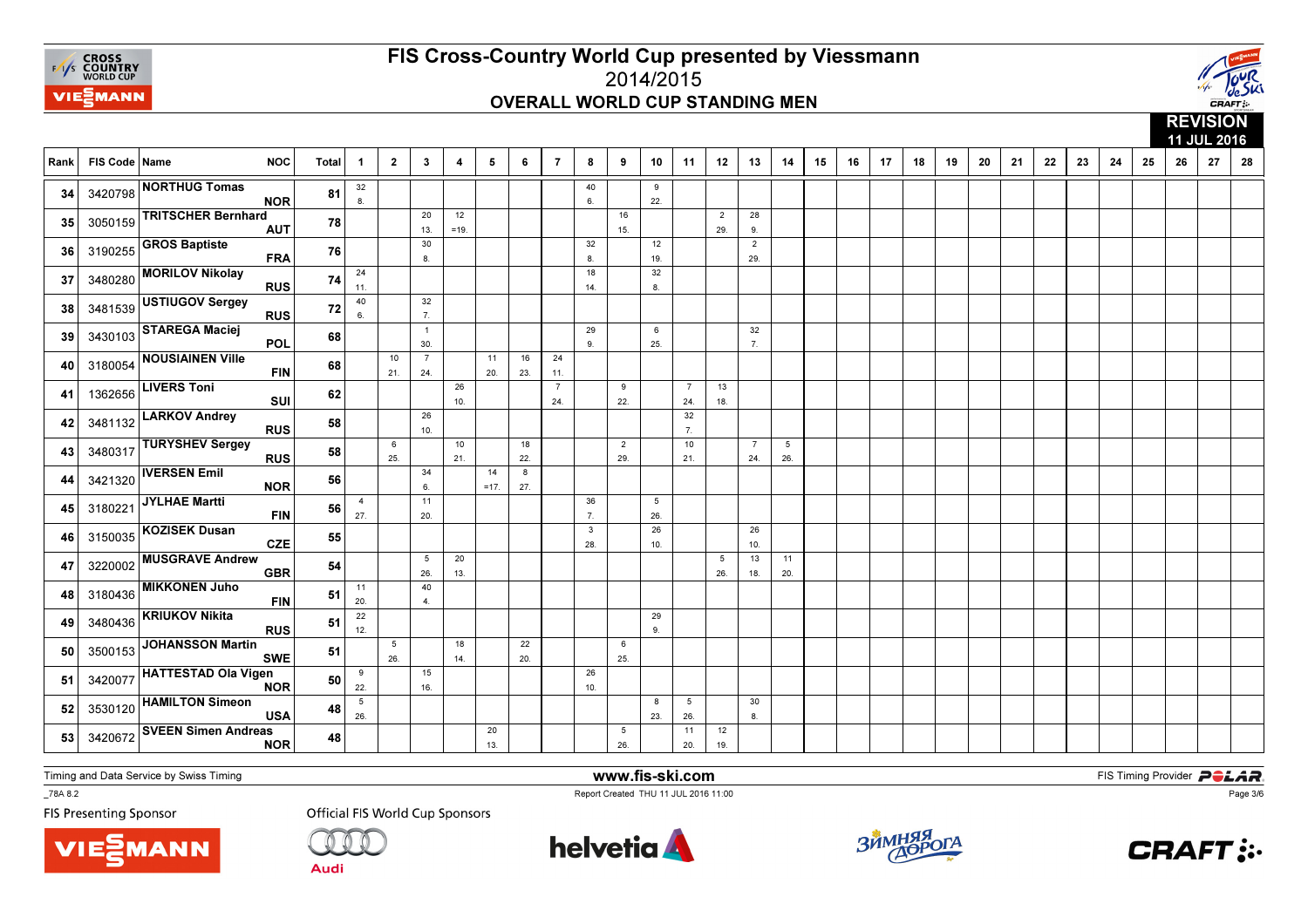



|      |                 |                                          |       |                       |                        |                        |                         |              |           |                       |                     |                        |                        |                        | 11 JUL 2016            |                       |                        |    |    |    |    |    |    |    |    |    |    |    |    |    |    |
|------|-----------------|------------------------------------------|-------|-----------------------|------------------------|------------------------|-------------------------|--------------|-----------|-----------------------|---------------------|------------------------|------------------------|------------------------|------------------------|-----------------------|------------------------|----|----|----|----|----|----|----|----|----|----|----|----|----|----|
| Rank | FIS Code   Name | <b>NOC</b>                               | Total | -1                    | $\mathbf{2}$           | $\mathbf{3}$           | $\overline{\mathbf{4}}$ | 5            | 6         | $\overline{7}$        | 8                   | 9                      | 10                     | 11                     | 12                     | 13                    | 14                     | 15 | 16 | 17 | 18 | 19 | 20 | 21 | 22 | 23 | 24 | 25 | 26 | 27 | 28 |
| 34   | 3420798         | <b>NORTHUG Tomas</b><br><b>NOR</b>       | 81    | 32<br>8.              |                        |                        |                         |              |           |                       | 40<br>6.            |                        | 9<br>22.               |                        |                        |                       |                        |    |    |    |    |    |    |    |    |    |    |    |    |    |    |
| 35   | 3050159         | <b>TRITSCHER Bernhard</b><br><b>AUT</b>  | 78    |                       |                        | 20<br>13.              | 12<br>$=19.$            |              |           |                       |                     | 16<br>15.              |                        |                        | $\overline{2}$<br>29.  | 28<br>9.              |                        |    |    |    |    |    |    |    |    |    |    |    |    |    |    |
| 36   | 3190255         | <b>GROS Baptiste</b><br><b>FRA</b>       | 76    |                       |                        | 30<br>8                |                         |              |           |                       | 32<br>8             |                        | 12<br>19.              |                        |                        | $\overline{2}$<br>29. |                        |    |    |    |    |    |    |    |    |    |    |    |    |    |    |
| 37   | 3480280         | <b>MORILOV Nikolay</b><br><b>RUS</b>     | 74    | 24<br>11.             |                        |                        |                         |              |           |                       | 18<br>14.           |                        | 32<br>8.               |                        |                        |                       |                        |    |    |    |    |    |    |    |    |    |    |    |    |    |    |
| 38   | 3481539         | USTIUGOV Sergey<br><b>RUS</b>            | 72    | 40<br>6.              |                        | 32<br>$\overline{7}$ . |                         |              |           |                       |                     |                        |                        |                        |                        |                       |                        |    |    |    |    |    |    |    |    |    |    |    |    |    |    |
| 39   | 3430103         | <b>STAREGA Maciej</b><br><b>POL</b>      | 68    |                       |                        | $\overline{1}$<br>30.  |                         |              |           |                       | 29<br>9             |                        | 6<br>25.               |                        |                        | 32<br>$\overline{7}$  |                        |    |    |    |    |    |    |    |    |    |    |    |    |    |    |
| 40   | 3180054         | <b>NOUSIAINEN Ville</b><br><b>FIN</b>    | 68    |                       | 10<br>21.              | $\overline{7}$<br>24.  |                         | 11<br>20.    | 16<br>23. | 24<br>11.             |                     |                        |                        |                        |                        |                       |                        |    |    |    |    |    |    |    |    |    |    |    |    |    |    |
| 41   | 1362656         | <b>LIVERS Toni</b><br>SUI                | 62    |                       |                        |                        | 26<br>10.               |              |           | $\overline{7}$<br>24. |                     | 9<br>22.               |                        | $\overline{7}$<br>24.  | 13<br>18.              |                       |                        |    |    |    |    |    |    |    |    |    |    |    |    |    |    |
| 42   | 3481132         | <b>LARKOV Andrey</b><br><b>RUS</b>       | 58    |                       |                        | 26<br>10.              |                         |              |           |                       |                     |                        |                        | 32<br>$\overline{7}$ . |                        |                       |                        |    |    |    |    |    |    |    |    |    |    |    |    |    |    |
| 43   | 3480317         | <b>TURYSHEV Sergey</b><br><b>RUS</b>     | 58    |                       | 6<br>25.               |                        | 10<br>21.               |              | 18<br>22. |                       |                     | $\overline{2}$<br>29.  |                        | 10<br>21.              |                        | $\overline{7}$<br>24. | $5\phantom{.0}$<br>26. |    |    |    |    |    |    |    |    |    |    |    |    |    |    |
| 44   | 3421320         | <b>IVERSEN Emil</b><br><b>NOR</b>        | 56    |                       |                        | 34<br>6.               |                         | 14<br>$=17.$ | 8<br>27.  |                       |                     |                        |                        |                        |                        |                       |                        |    |    |    |    |    |    |    |    |    |    |    |    |    |    |
| 45   | 3180221         | JYLHAE Martti<br><b>FIN</b>              | 56    | $\overline{4}$<br>27. |                        | 11<br>20.              |                         |              |           |                       | 36<br>7.            |                        | $5\phantom{.0}$<br>26. |                        |                        |                       |                        |    |    |    |    |    |    |    |    |    |    |    |    |    |    |
| 46   | 3150035         | <b>KOZISEK Dusan</b><br><b>CZE</b>       | 55    |                       |                        |                        |                         |              |           |                       | $\mathbf{3}$<br>28. |                        | 26<br>10.              |                        |                        | 26<br>10.             |                        |    |    |    |    |    |    |    |    |    |    |    |    |    |    |
| 47   | 3220002         | <b>MUSGRAVE Andrew</b><br><b>GBR</b>     | 54    |                       |                        | $5\phantom{.0}$<br>26. | 20<br>13.               |              |           |                       |                     |                        |                        |                        | $5\overline{5}$<br>26. | 13<br>18.             | 11<br>20.              |    |    |    |    |    |    |    |    |    |    |    |    |    |    |
| 48   | 3180436         | <b>MIKKONEN Juho</b><br><b>FIN</b>       | 51    | 11<br>20.             |                        | 40<br>$\overline{4}$ . |                         |              |           |                       |                     |                        |                        |                        |                        |                       |                        |    |    |    |    |    |    |    |    |    |    |    |    |    |    |
| 49   | 3480436         | <b>KRIUKOV Nikita</b><br><b>RUS</b>      | 51    | 22<br>12.             |                        |                        |                         |              |           |                       |                     |                        | 29<br>9.               |                        |                        |                       |                        |    |    |    |    |    |    |    |    |    |    |    |    |    |    |
| 50   | 3500153         | <b>JOHANSSON Martin</b><br><b>SWE</b>    | 51    |                       | $5\phantom{.0}$<br>26. |                        | 18<br>14.               |              | 22<br>20. |                       |                     | 6<br>25.               |                        |                        |                        |                       |                        |    |    |    |    |    |    |    |    |    |    |    |    |    |    |
| 51   | 3420077         | HATTESTAD Ola Vigen<br><b>NOR</b>        | 50    | 9<br>22.              |                        | 15<br>16.              |                         |              |           |                       | 26<br>10.           |                        |                        |                        |                        |                       |                        |    |    |    |    |    |    |    |    |    |    |    |    |    |    |
| 52   | 3530120         | <b>HAMILTON Simeon</b><br><b>USA</b>     | 48    | 5<br>26.              |                        |                        |                         |              |           |                       |                     |                        | 8<br>23.               | $5\overline{5}$<br>26. |                        | 30<br>8.              |                        |    |    |    |    |    |    |    |    |    |    |    |    |    |    |
| 53   | 3420672         | <b>SVEEN Simen Andreas</b><br><b>NOR</b> | 48    |                       |                        |                        |                         | 20<br>13.    |           |                       |                     | $5\phantom{.0}$<br>26. |                        | 11<br>20.              | 12<br>19.              |                       |                        |    |    |    |    |    |    |    |    |    |    |    |    |    |    |

Timing and Data Service by Swiss Timing

MANN

\_78A 8.2

**FIS Presenting Sponsor** 

**Official FIS World Cup Sponsors** 



www.fis-ski.com

Report Created THU 11 JUL 2016 11:00



**m**<br>FIS Timing Provider<br>Is 11:00



Page 3/6

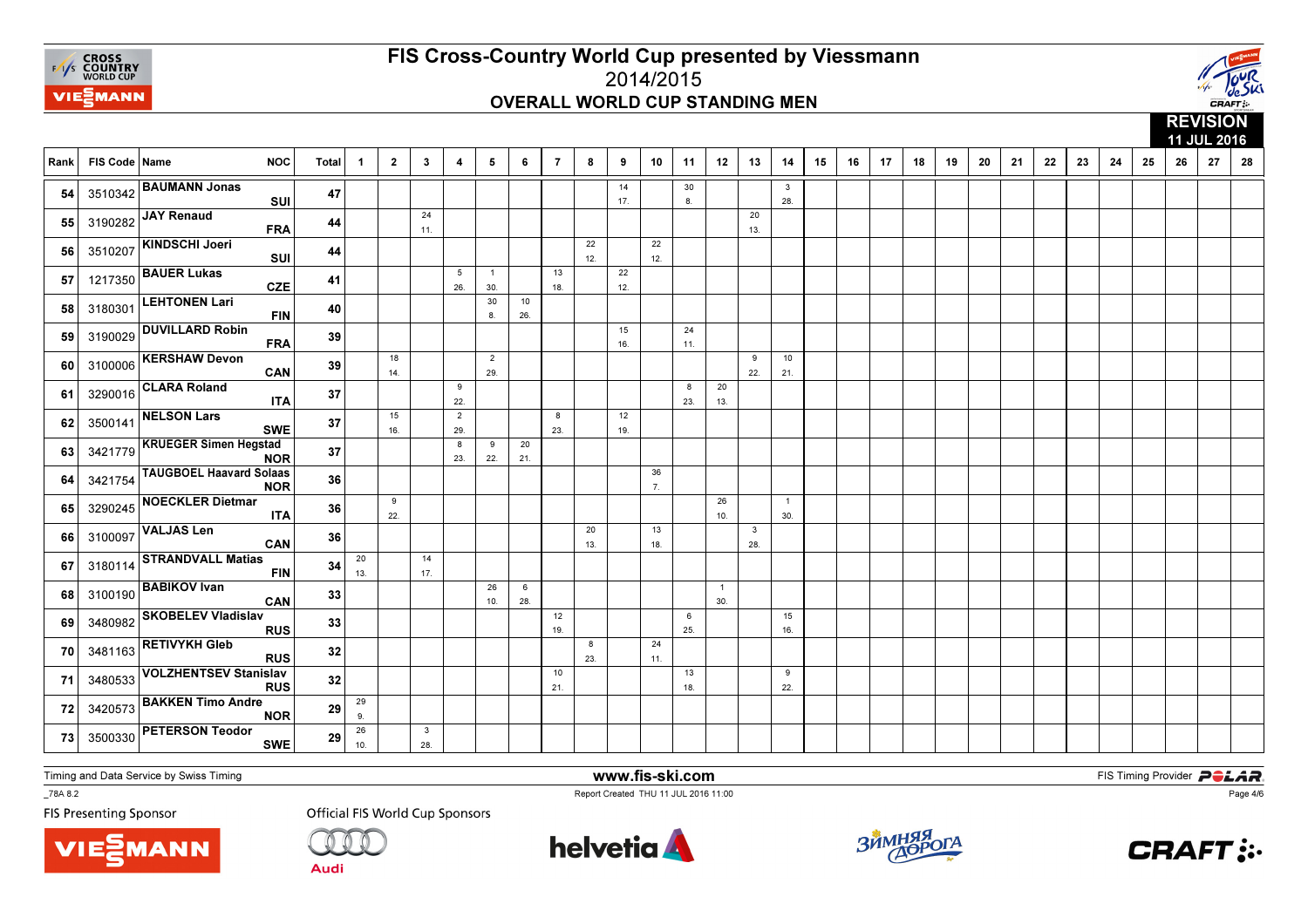



|      |               |                                              |              |                      |                |                     |                         |                       |           |                |           |           |           |           |                       |                     | 11 JUL 2016         |    |    |    |    |    |    |    |    |    |    |    |    |    |    |
|------|---------------|----------------------------------------------|--------------|----------------------|----------------|---------------------|-------------------------|-----------------------|-----------|----------------|-----------|-----------|-----------|-----------|-----------------------|---------------------|---------------------|----|----|----|----|----|----|----|----|----|----|----|----|----|----|
| Rank | FIS Code Name | <b>NOC</b>                                   | <b>Total</b> | $\mathbf 1$          | $\overline{2}$ | $\mathbf{3}$        | $\overline{\mathbf{4}}$ | 5                     | 6         | $\overline{7}$ | 8         | 9         | 10        | 11        | 12                    | 13                  | 14                  | 15 | 16 | 17 | 18 | 19 | 20 | 21 | 22 | 23 | 24 | 25 | 26 | 27 | 28 |
| 54   |               | 3510342 BAUMANN Jonas<br>SUI                 | 47           |                      |                |                     |                         |                       |           |                |           | 14<br>17. |           | 30<br>8.  |                       |                     | 3<br>28.            |    |    |    |    |    |    |    |    |    |    |    |    |    |    |
| 55   |               | 3190282 JAY Renaud<br><b>FRA</b>             | 44           |                      |                | 24<br>11.           |                         |                       |           |                |           |           |           |           |                       | 20<br>13.           |                     |    |    |    |    |    |    |    |    |    |    |    |    |    |    |
| 56   | 3510207       | KINDSCHI Joeri<br>SUI                        | 44           |                      |                |                     |                         |                       |           |                | 22<br>12. |           | 22<br>12. |           |                       |                     |                     |    |    |    |    |    |    |    |    |    |    |    |    |    |    |
| 57   | 1217350       | <b>BAUER Lukas</b><br><b>CZE</b>             | 41           |                      |                |                     | 5<br>26.                | $\overline{1}$<br>30. |           | 13<br>18.      |           | 22<br>12. |           |           |                       |                     |                     |    |    |    |    |    |    |    |    |    |    |    |    |    |    |
| 58   | 3180301       | <b>LEHTONEN Lari</b><br><b>FIN</b>           | 40           |                      |                |                     |                         | 30<br>8.              | 10<br>26. |                |           |           |           |           |                       |                     |                     |    |    |    |    |    |    |    |    |    |    |    |    |    |    |
| 59   | 3190029       | <b>DUVILLARD Robin</b><br><b>FRA</b>         | 39           |                      |                |                     |                         |                       |           |                |           | 15<br>16. |           | 24<br>11. |                       |                     |                     |    |    |    |    |    |    |    |    |    |    |    |    |    |    |
| 60   |               | 3100006 KERSHAW Devon<br>CAN                 | 39           |                      | 18<br>14.      |                     |                         | $\overline{2}$<br>29. |           |                |           |           |           |           |                       | 9<br>22.            | 10<br>21.           |    |    |    |    |    |    |    |    |    |    |    |    |    |    |
| 61   | 3290016       | <b>CLARA Roland</b><br><b>ITA</b>            | 37           |                      |                |                     | 9<br>22.                |                       |           |                |           |           |           | 8<br>23.  | 20<br>13.             |                     |                     |    |    |    |    |    |    |    |    |    |    |    |    |    |    |
| 62   | 3500141       | <b>NELSON Lars</b><br><b>SWE</b>             | 37           |                      | 15<br>16.      |                     | $\overline{2}$<br>29.   |                       |           | 8<br>23.       |           | 12<br>19. |           |           |                       |                     |                     |    |    |    |    |    |    |    |    |    |    |    |    |    |    |
| 63   | 3421779       | <b>KRUEGER Simen Hegstad</b><br><b>NOR</b>   | 37           |                      |                |                     | 8<br>23.                | 9<br>22.              | 20<br>21. |                |           |           |           |           |                       |                     |                     |    |    |    |    |    |    |    |    |    |    |    |    |    |    |
| 64   | 3421754       | <b>TAUGBOEL Haavard Solaas</b><br><b>NOR</b> | 36           |                      |                |                     |                         |                       |           |                |           |           | 36<br>7.  |           |                       |                     |                     |    |    |    |    |    |    |    |    |    |    |    |    |    |    |
| 65   | 3290245       | <b>NOECKLER Dietmar</b><br><b>ITA</b>        | 36           |                      | 9<br>22.       |                     |                         |                       |           |                |           |           |           |           | 26<br>10.             |                     | $\mathbf{1}$<br>30. |    |    |    |    |    |    |    |    |    |    |    |    |    |    |
| 66   | 3100097       | <b>VALJAS Len</b><br>CAN                     | 36           |                      |                |                     |                         |                       |           |                | 20<br>13. |           | 13<br>18. |           |                       | $\mathbf{3}$<br>28. |                     |    |    |    |    |    |    |    |    |    |    |    |    |    |    |
| 67   | 3180114       | <b>STRANDVALL Matias</b><br><b>FIN</b>       | 34           | 20<br>13.            |                | 14<br>17.           |                         |                       |           |                |           |           |           |           |                       |                     |                     |    |    |    |    |    |    |    |    |    |    |    |    |    |    |
| 68   | 3100190       | <b>BABIKOV Ivan</b><br>CAN                   | 33           |                      |                |                     |                         | 26<br>10.             | 6<br>28.  |                |           |           |           |           | $\overline{1}$<br>30. |                     |                     |    |    |    |    |    |    |    |    |    |    |    |    |    |    |
| 69   | 3480982       | <b>SKOBELEV Vladislav</b><br><b>RUS</b>      | 33           |                      |                |                     |                         |                       |           | 12<br>19.      |           |           |           | 6<br>25.  |                       |                     | 15<br>16.           |    |    |    |    |    |    |    |    |    |    |    |    |    |    |
| 70   |               | 3481163 RETIVYKH Gleb<br><b>RUS</b>          | 32           |                      |                |                     |                         |                       |           |                | 8<br>23.  |           | 24<br>11. |           |                       |                     |                     |    |    |    |    |    |    |    |    |    |    |    |    |    |    |
| 71   | 3480533       | <b>VOLZHENTSEV Stanislav</b><br><b>RUS</b>   | 32           |                      |                |                     |                         |                       |           | 10<br>21.      |           |           |           | 13<br>18. |                       |                     | 9<br>22.            |    |    |    |    |    |    |    |    |    |    |    |    |    |    |
| 72   | 3420573       | <b>BAKKEN Timo Andre</b><br><b>NOR</b>       | 29           | 29<br>9 <sub>1</sub> |                |                     |                         |                       |           |                |           |           |           |           |                       |                     |                     |    |    |    |    |    |    |    |    |    |    |    |    |    |    |
| 73   | 3500330       | <b>PETERSON Teodor</b><br><b>SWE</b>         | 29           | 26<br>10.            |                | $\mathbf{3}$<br>28. |                         |                       |           |                |           |           |           |           |                       |                     |                     |    |    |    |    |    |    |    |    |    |    |    |    |    |    |

Timing and Data Service by Swiss Timing

MANN

\_78A 8.2

**FIS Presenting Sponsor** 

**Official FIS World Cup Sponsors** 

**Audi** 



www.fis-ski.com

Report Created THU 11 JUL 2016 11:00



**m**<br>FIS Timing Provider<br>Is 11:00



Page 4/6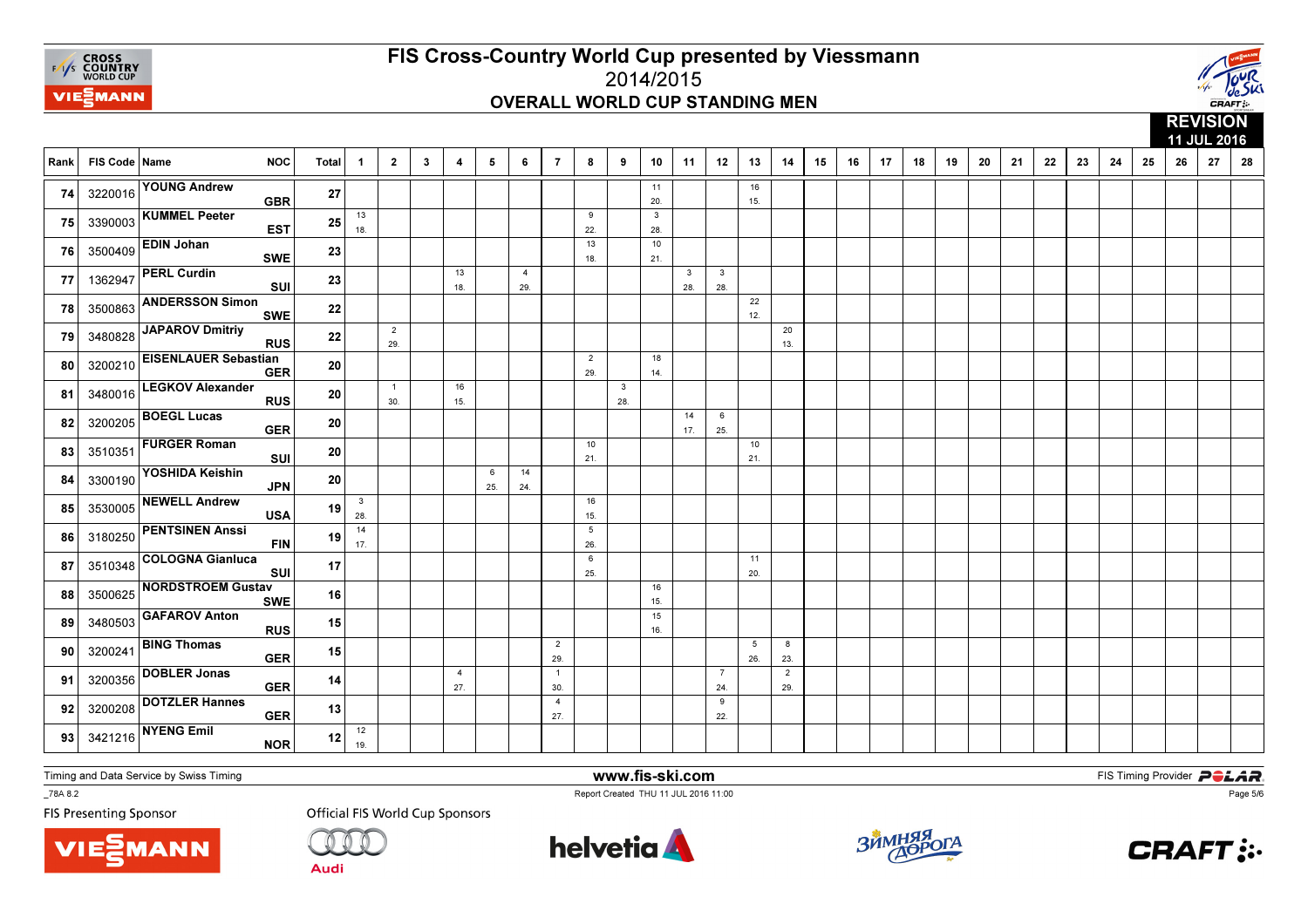



|      |               |                                           |              |                                |                       |              |                         |          |                       |                       | 11 JUL 2016<br>$\overline{7}$<br>8<br>10<br>12<br>15<br>16<br>17<br>18<br>19<br>20<br>21<br>22<br>23<br>25<br>27<br>28<br>9<br>11<br>13<br>14<br>24<br>26 |                     |                     |                                |                       |                        |                       |  |  |  |  |  |  |  |  |  |  |  |
|------|---------------|-------------------------------------------|--------------|--------------------------------|-----------------------|--------------|-------------------------|----------|-----------------------|-----------------------|-----------------------------------------------------------------------------------------------------------------------------------------------------------|---------------------|---------------------|--------------------------------|-----------------------|------------------------|-----------------------|--|--|--|--|--|--|--|--|--|--|--|
| Rank | FIS Code Name | <b>NOC</b>                                | <b>Total</b> | $\overline{\mathbf{1}}$        | $\overline{2}$        | $\mathbf{3}$ | $\overline{\mathbf{4}}$ | 5        | 6                     |                       |                                                                                                                                                           |                     |                     |                                |                       |                        |                       |  |  |  |  |  |  |  |  |  |  |  |
| 74   |               | 3220016 YOUNG Andrew<br><b>GBR</b>        | 27           |                                |                       |              |                         |          |                       |                       |                                                                                                                                                           |                     | 11<br>20.           |                                |                       | 16<br>15.              |                       |  |  |  |  |  |  |  |  |  |  |  |
| 75   |               | 3390003 KUMMEL Peeter<br><b>EST</b>       | 25           | 13<br>18.                      |                       |              |                         |          |                       |                       | 9<br>22.                                                                                                                                                  |                     | $\mathbf{3}$<br>28. |                                |                       |                        |                       |  |  |  |  |  |  |  |  |  |  |  |
| 76   | 3500409       | <b>EDIN Johan</b><br><b>SWE</b>           | 23           |                                |                       |              |                         |          |                       |                       | 13<br>18.                                                                                                                                                 |                     | 10<br>21.           |                                |                       |                        |                       |  |  |  |  |  |  |  |  |  |  |  |
| 77   | 1362947       | <b>PERL Curdin</b><br>SUI                 | 23           |                                |                       |              | 13<br>18.               |          | $\overline{4}$<br>29. |                       |                                                                                                                                                           |                     |                     | $\overline{\mathbf{3}}$<br>28. | $\mathbf{3}$<br>28.   |                        |                       |  |  |  |  |  |  |  |  |  |  |  |
| 78   | 3500863       | <b>ANDERSSON Simon</b><br><b>SWE</b>      | 22           |                                |                       |              |                         |          |                       |                       |                                                                                                                                                           |                     |                     |                                |                       | 22<br>12.              |                       |  |  |  |  |  |  |  |  |  |  |  |
| 79   | 3480828       | JAPAROV Dmitriy<br><b>RUS</b>             | 22           |                                | $\overline{2}$<br>29. |              |                         |          |                       |                       |                                                                                                                                                           |                     |                     |                                |                       |                        | 20<br>13.             |  |  |  |  |  |  |  |  |  |  |  |
| 80   | 3200210       | <b>EISENLAUER Sebastian</b><br><b>GER</b> | 20           |                                |                       |              |                         |          |                       |                       | $\overline{2}$<br>29.                                                                                                                                     |                     | 18<br>14.           |                                |                       |                        |                       |  |  |  |  |  |  |  |  |  |  |  |
| 81   | 3480016       | <b>LEGKOV Alexander</b><br><b>RUS</b>     | ${\bf 20}$   |                                | $\overline{1}$<br>30. |              | 16<br>15.               |          |                       |                       |                                                                                                                                                           | $\mathbf{3}$<br>28. |                     |                                |                       |                        |                       |  |  |  |  |  |  |  |  |  |  |  |
| 82   | 3200205       | <b>BOEGL Lucas</b><br><b>GER</b>          | 20           |                                |                       |              |                         |          |                       |                       |                                                                                                                                                           |                     |                     | 14<br>17.                      | 6<br>25.              |                        |                       |  |  |  |  |  |  |  |  |  |  |  |
| 83   | 3510351       | <b>FURGER Roman</b><br>SUI                | 20           |                                |                       |              |                         |          |                       |                       | 10<br>21.                                                                                                                                                 |                     |                     |                                |                       | 10<br>21.              |                       |  |  |  |  |  |  |  |  |  |  |  |
| 84   | 3300190       | YOSHIDA Keishin<br><b>JPN</b>             | 20           |                                |                       |              |                         | 6<br>25. | 14<br>24.             |                       |                                                                                                                                                           |                     |                     |                                |                       |                        |                       |  |  |  |  |  |  |  |  |  |  |  |
| 85   | 3530005       | <b>NEWELL Andrew</b><br><b>USA</b>        | 19           | $\overline{\mathbf{3}}$<br>28. |                       |              |                         |          |                       |                       | 16<br>15.                                                                                                                                                 |                     |                     |                                |                       |                        |                       |  |  |  |  |  |  |  |  |  |  |  |
| 86   | 3180250       | <b>PENTSINEN Anssi</b><br><b>FIN</b>      | 19           | 14<br>17.                      |                       |              |                         |          |                       |                       | 5<br>26.                                                                                                                                                  |                     |                     |                                |                       |                        |                       |  |  |  |  |  |  |  |  |  |  |  |
| 87   | 3510348       | <b>COLOGNA Gianluca</b><br>SUI            | 17           |                                |                       |              |                         |          |                       |                       | 6<br>25.                                                                                                                                                  |                     |                     |                                |                       | 11<br>20.              |                       |  |  |  |  |  |  |  |  |  |  |  |
| 88   | 3500625       | <b>NORDSTROEM Gustav</b><br><b>SWE</b>    | 16           |                                |                       |              |                         |          |                       |                       |                                                                                                                                                           |                     | 16<br>15.           |                                |                       |                        |                       |  |  |  |  |  |  |  |  |  |  |  |
| 89   | 3480503       | <b>GAFAROV Anton</b><br><b>RUS</b>        | 15           |                                |                       |              |                         |          |                       |                       |                                                                                                                                                           |                     | 15<br>16.           |                                |                       |                        |                       |  |  |  |  |  |  |  |  |  |  |  |
| 90   | 3200241       | <b>BING Thomas</b><br><b>GER</b>          | 15           |                                |                       |              |                         |          |                       | $\overline{2}$<br>29. |                                                                                                                                                           |                     |                     |                                |                       | $5\overline{5}$<br>26. | 8<br>23.              |  |  |  |  |  |  |  |  |  |  |  |
| 91   | 3200356       | <b>DOBLER Jonas</b><br><b>GER</b>         | 14           |                                |                       |              | $\overline{4}$<br>27.   |          |                       | $\overline{1}$<br>30. |                                                                                                                                                           |                     |                     |                                | $\overline{7}$<br>24. |                        | $\overline{2}$<br>29. |  |  |  |  |  |  |  |  |  |  |  |
| 92   | 3200208       | <b>DOTZLER Hannes</b><br><b>GER</b>       | 13           |                                |                       |              |                         |          |                       | $\overline{4}$<br>27. |                                                                                                                                                           |                     |                     |                                | 9<br>22.              |                        |                       |  |  |  |  |  |  |  |  |  |  |  |
| 93   | 3421216       | <b>NYENG Emil</b><br><b>NOR</b>           | 12           | 12<br>19.                      |                       |              |                         |          |                       |                       |                                                                                                                                                           |                     |                     |                                |                       |                        |                       |  |  |  |  |  |  |  |  |  |  |  |

Timing and Data Service by Swiss Timing

MANN

\_78A 8.2

**FIS Presenting Sponsor** 

**Official FIS World Cup Sponsors** 

**Audi** 



www.fis-ski.com

Report Created THU 11 JUL 2016 11:00



**m**<br>FIS Timing Provider<br>Is 11:00



Page 5/6